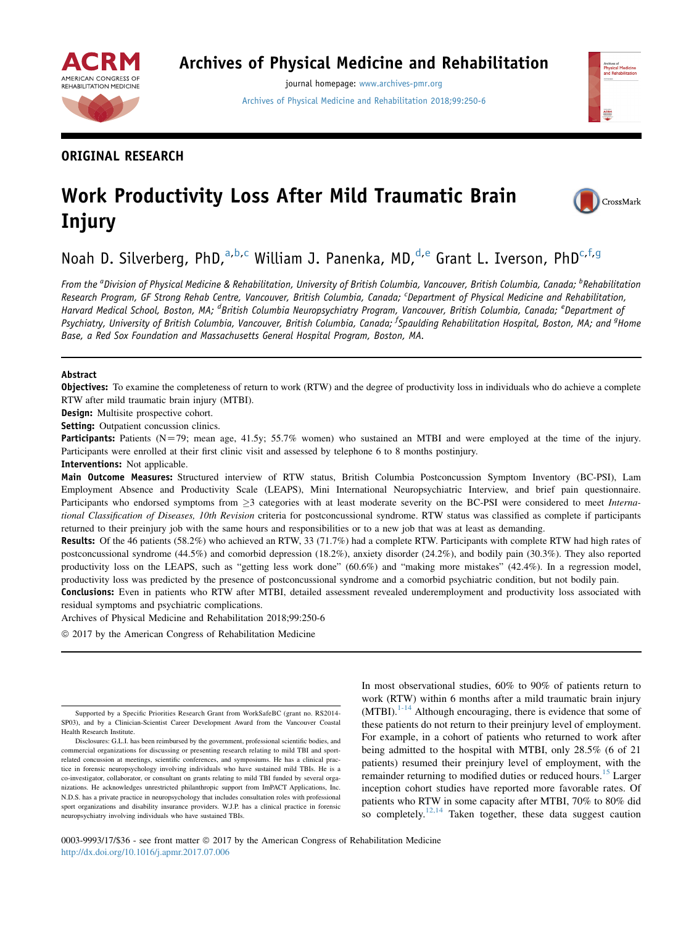

# Archives of Physical Medicine and Rehabilitation

journal homepage: [www.archives-pmr.org](http://www.archives-pmr.org) [Archives of Physical Medicine and Rehabilitation 2018;99:250-6](http://dx.doi.org/10.1016/j.apmr.2017.07.006)



## ORIGINAL RESEARCH

# Work Productivity Loss After Mild Traumatic Brain Injury

CrossMark

Noah D. Silverberg, PhD,  $a,b,c$  William J. Panenka, MD,  $d,e$  Grant L. Iverson, PhD<sup>c, f, g</sup>

From the <sup>a</sup>Division of Physical Medicine & Rehabilitation, University of British Columbia, Vancouver, British Columbia, Canada; <sup>b</sup>Rehabilitation Research Program, GF Strong Rehab Centre, Vancouver, British Columbia, Canada; <sup>c</sup>Department of Physical Medicine and Rehabilitation, Harvard Medical School, Boston, MA; <sup>d</sup>British Columbia Neuropsychiatry Program, Vancouver, British Columbia, Canada; <sup>e</sup>Department of Psychiatry, University of British Columbia, Vancouver, British Columbia, Canada; <sup>f</sup>Spaulding Rehabilitation Hospital, Boston, MA; and <sup>g</sup>Home Base, a Red Sox Foundation and Massachusetts General Hospital Program, Boston, MA.

#### Abstract

**Objectives:** To examine the completeness of return to work (RTW) and the degree of productivity loss in individuals who do achieve a complete RTW after mild traumatic brain injury (MTBI).

Design: Multisite prospective cohort.

Setting: Outpatient concussion clinics.

Participants: Patients (N=79; mean age, 41.5y; 55.7% women) who sustained an MTBI and were employed at the time of the injury. Participants were enrolled at their first clinic visit and assessed by telephone 6 to 8 months postinjury.

Interventions: Not applicable.

Main Outcome Measures: Structured interview of RTW status, British Columbia Postconcussion Symptom Inventory (BC-PSI), Lam Employment Absence and Productivity Scale (LEAPS), Mini International Neuropsychiatric Interview, and brief pain questionnaire. Participants who endorsed symptoms from  $\geq$ 3 categories with at least moderate severity on the BC-PSI were considered to meet *Interna*tional Classification of Diseases, 10th Revision criteria for postconcussional syndrome. RTW status was classified as complete if participants returned to their preinjury job with the same hours and responsibilities or to a new job that was at least as demanding.

Results: Of the 46 patients (58.2%) who achieved an RTW, 33 (71.7%) had a complete RTW. Participants with complete RTW had high rates of postconcussional syndrome (44.5%) and comorbid depression (18.2%), anxiety disorder (24.2%), and bodily pain (30.3%). They also reported productivity loss on the LEAPS, such as "getting less work done" (60.6%) and "making more mistakes" (42.4%). In a regression model, productivity loss was predicted by the presence of postconcussional syndrome and a comorbid psychiatric condition, but not bodily pain.

Conclusions: Even in patients who RTW after MTBI, detailed assessment revealed underemployment and productivity loss associated with residual symptoms and psychiatric complications.

Archives of Physical Medicine and Rehabilitation 2018;99:250-6

 $@$  2017 by the American Congress of Rehabilitation Medicine

In most observational studies, 60% to 90% of patients return to work (RTW) within 6 months after a mild traumatic brain injury  $(MTBI).<sup>1-14</sup>$  $(MTBI).<sup>1-14</sup>$  $(MTBI).<sup>1-14</sup>$  Although encouraging, there is evidence that some of these patients do not return to their preinjury level of employment. For example, in a cohort of patients who returned to work after being admitted to the hospital with MTBI, only 28.5% (6 of 21 patients) resumed their preinjury level of employment, with the remainder returning to modified duties or reduced hours.<sup>[15](#page-5-0)</sup> Larger inception cohort studies have reported more favorable rates. Of patients who RTW in some capacity after MTBI, 70% to 80% did so completely.<sup>[12,14](#page-5-0)</sup> Taken together, these data suggest caution

0003-9993/17/\$36 - see front matter © 2017 by the American Congress of Rehabilitation Medicine <http://dx.doi.org/10.1016/j.apmr.2017.07.006>

Supported by a Specific Priorities Research Grant from WorkSafeBC (grant no. RS2014- SP03), and by a Clinician-Scientist Career Development Award from the Vancouver Coastal Health Research Institute.

Disclosures: G.L.I. has been reimbursed by the government, professional scientific bodies, and commercial organizations for discussing or presenting research relating to mild TBI and sportrelated concussion at meetings, scientific conferences, and symposiums. He has a clinical practice in forensic neuropsychology involving individuals who have sustained mild TBIs. He is a co-investigator, collaborator, or consultant on grants relating to mild TBI funded by several organizations. He acknowledges unrestricted philanthropic support from ImPACT Applications, Inc. N.D.S. has a private practice in neuropsychology that includes consultation roles with professional sport organizations and disability insurance providers. W.J.P. has a clinical practice in forensic neuropsychiatry involving individuals who have sustained TBIs.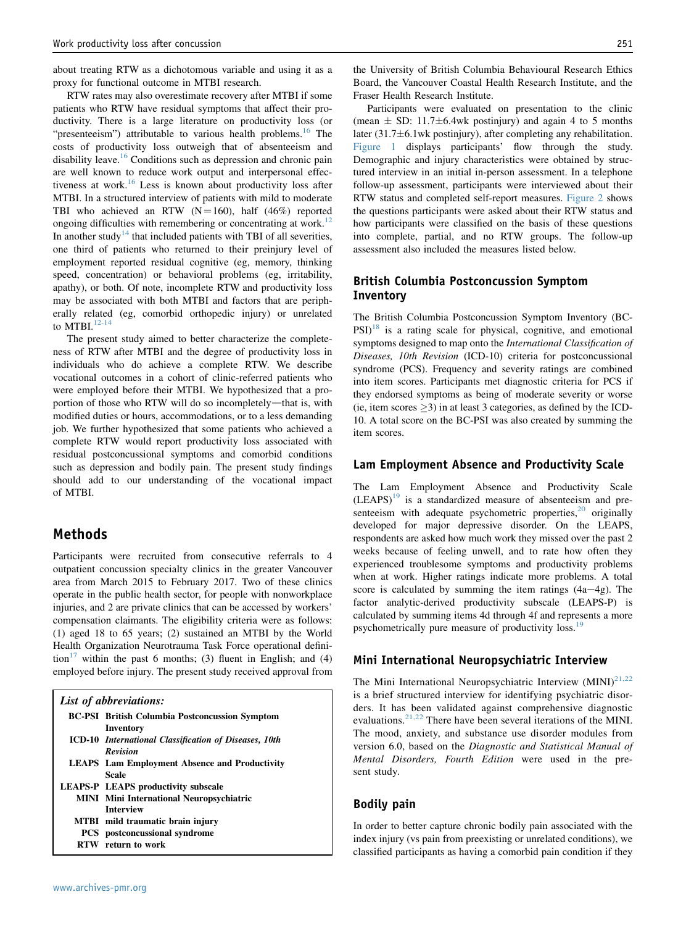about treating RTW as a dichotomous variable and using it as a proxy for functional outcome in MTBI research.

RTW rates may also overestimate recovery after MTBI if some patients who RTW have residual symptoms that affect their productivity. There is a large literature on productivity loss (or "presenteeism") attributable to various health problems.<sup>[16](#page-5-0)</sup> The costs of productivity loss outweigh that of absenteeism and disability leave.<sup>[16](#page-5-0)</sup> Conditions such as depression and chronic pain are well known to reduce work output and interpersonal effec-tiveness at work.<sup>[16](#page-5-0)</sup> Less is known about productivity loss after MTBI. In a structured interview of patients with mild to moderate TBI who achieved an RTW  $(N=160)$ , half  $(46%)$  reported ongoing difficulties with remembering or concentrating at work.<sup>[12](#page-5-0)</sup> In another study<sup>[14](#page-5-0)</sup> that included patients with TBI of all severities, one third of patients who returned to their preinjury level of employment reported residual cognitive (eg, memory, thinking speed, concentration) or behavioral problems (eg, irritability, apathy), or both. Of note, incomplete RTW and productivity loss may be associated with both MTBI and factors that are peripherally related (eg, comorbid orthopedic injury) or unrelated to MTBI. $12-14$ 

The present study aimed to better characterize the completeness of RTW after MTBI and the degree of productivity loss in individuals who do achieve a complete RTW. We describe vocational outcomes in a cohort of clinic-referred patients who were employed before their MTBI. We hypothesized that a proportion of those who RTW will do so incompletely-that is, with modified duties or hours, accommodations, or to a less demanding job. We further hypothesized that some patients who achieved a complete RTW would report productivity loss associated with residual postconcussional symptoms and comorbid conditions such as depression and bodily pain. The present study findings should add to our understanding of the vocational impact of MTBI.

#### Methods

Participants were recruited from consecutive referrals to 4 outpatient concussion specialty clinics in the greater Vancouver area from March 2015 to February 2017. Two of these clinics operate in the public health sector, for people with nonworkplace injuries, and 2 are private clinics that can be accessed by workers' compensation claimants. The eligibility criteria were as follows: (1) aged 18 to 65 years; (2) sustained an MTBI by the World Health Organization Neurotrauma Task Force operational definition<sup>17</sup> within the past 6 months; (3) fluent in English; and (4) employed before injury. The present study received approval from

| List of abbreviations: |                                                                                       |  |  |  |
|------------------------|---------------------------------------------------------------------------------------|--|--|--|
|                        | <b>BC-PSI</b> British Columbia Postconcussion Symptom                                 |  |  |  |
|                        | Inventory<br>ICD-10 International Classification of Diseases, 10th<br><b>Revision</b> |  |  |  |
|                        | <b>LEAPS</b> Lam Employment Absence and Productivity                                  |  |  |  |
|                        | Scale<br><b>LEAPS-P LEAPS productivity subscale</b>                                   |  |  |  |
|                        | <b>MINI</b> Mini International Neuropsychiatric<br><b>Interview</b>                   |  |  |  |
|                        | MTBI mild traumatic brain injury                                                      |  |  |  |
|                        | <b>PCS</b> postconcussional syndrome                                                  |  |  |  |
| RTW                    | return to work                                                                        |  |  |  |

the University of British Columbia Behavioural Research Ethics Board, the Vancouver Coastal Health Research Institute, and the Fraser Health Research Institute.

Participants were evaluated on presentation to the clinic (mean  $\pm$  SD: 11.7 $\pm$ 6.4wk postinjury) and again 4 to 5 months later  $(31.7\pm6.1$ wk postinjury), after completing any rehabilitation. [Figure 1](#page-2-0) displays participants' flow through the study. Demographic and injury characteristics were obtained by structured interview in an initial in-person assessment. In a telephone follow-up assessment, participants were interviewed about their RTW status and completed self-report measures. [Figure 2](#page-2-0) shows the questions participants were asked about their RTW status and how participants were classified on the basis of these questions into complete, partial, and no RTW groups. The follow-up assessment also included the measures listed below.

#### British Columbia Postconcussion Symptom Inventory

The British Columbia Postconcussion Symptom Inventory (BC- $PSI$ <sup>[18](#page-5-0)</sup> is a rating scale for physical, cognitive, and emotional symptoms designed to map onto the International Classification of Diseases, 10th Revision (ICD-10) criteria for postconcussional syndrome (PCS). Frequency and severity ratings are combined into item scores. Participants met diagnostic criteria for PCS if they endorsed symptoms as being of moderate severity or worse (ie, item scores  $>$ 3) in at least 3 categories, as defined by the ICD-10. A total score on the BC-PSI was also created by summing the item scores.

#### Lam Employment Absence and Productivity Scale

The Lam Employment Absence and Productivity Scale  $(LEAPS)<sup>19</sup>$  $(LEAPS)<sup>19</sup>$  $(LEAPS)<sup>19</sup>$  is a standardized measure of absenteeism and presenteeism with adequate psychometric properties, $20$  originally developed for major depressive disorder. On the LEAPS, respondents are asked how much work they missed over the past 2 weeks because of feeling unwell, and to rate how often they experienced troublesome symptoms and productivity problems when at work. Higher ratings indicate more problems. A total score is calculated by summing the item ratings  $(4a-4g)$ . The factor analytic-derived productivity subscale (LEAPS-P) is calculated by summing items 4d through 4f and represents a more psychometrically pure measure of productivity loss.<sup>[19](#page-5-0)</sup>

#### Mini International Neuropsychiatric Interview

The Mini International Neuropsychiatric Interview  $(MINI)^{21,22}$  $(MINI)^{21,22}$  $(MINI)^{21,22}$ is a brief structured interview for identifying psychiatric disorders. It has been validated against comprehensive diagnostic evaluations.[21,22](#page-5-0) There have been several iterations of the MINI. The mood, anxiety, and substance use disorder modules from version 6.0, based on the Diagnostic and Statistical Manual of Mental Disorders, Fourth Edition were used in the present study.

#### Bodily pain

In order to better capture chronic bodily pain associated with the index injury (vs pain from preexisting or unrelated conditions), we classified participants as having a comorbid pain condition if they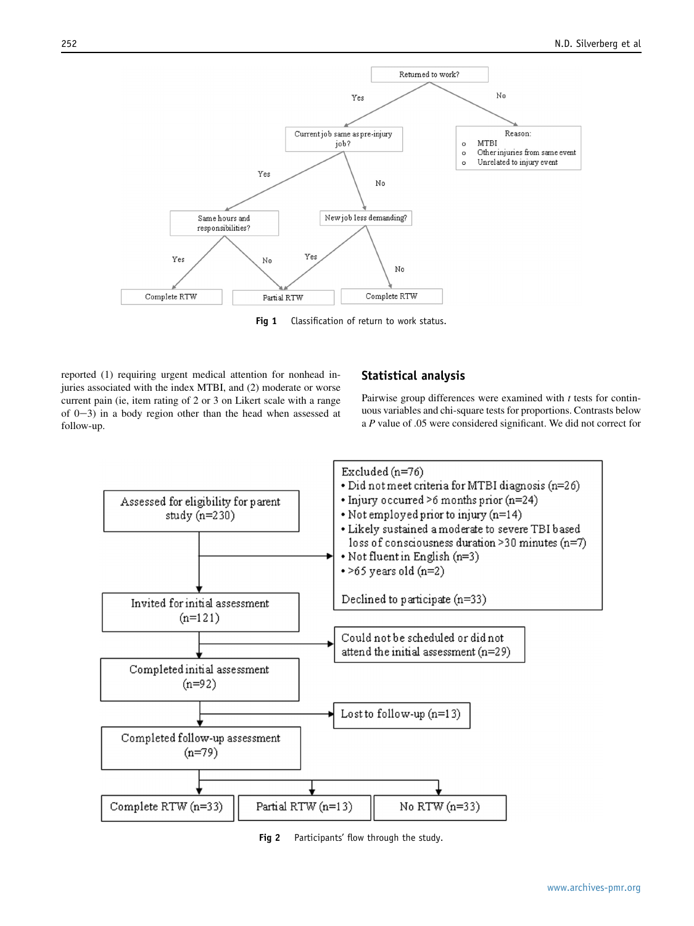<span id="page-2-0"></span>

Fig 1 Classification of return to work status.

reported (1) requiring urgent medical attention for nonhead injuries associated with the index MTBI, and (2) moderate or worse current pain (ie, item rating of 2 or 3 on Likert scale with a range of  $(0-3)$  in a body region other than the head when assessed at follow-up.

#### Statistical analysis

Pairwise group differences were examined with  $t$  tests for continuous variables and chi-square tests for proportions. Contrasts below a P value of .05 were considered significant. We did not correct for



Fig 2 Participants' flow through the study.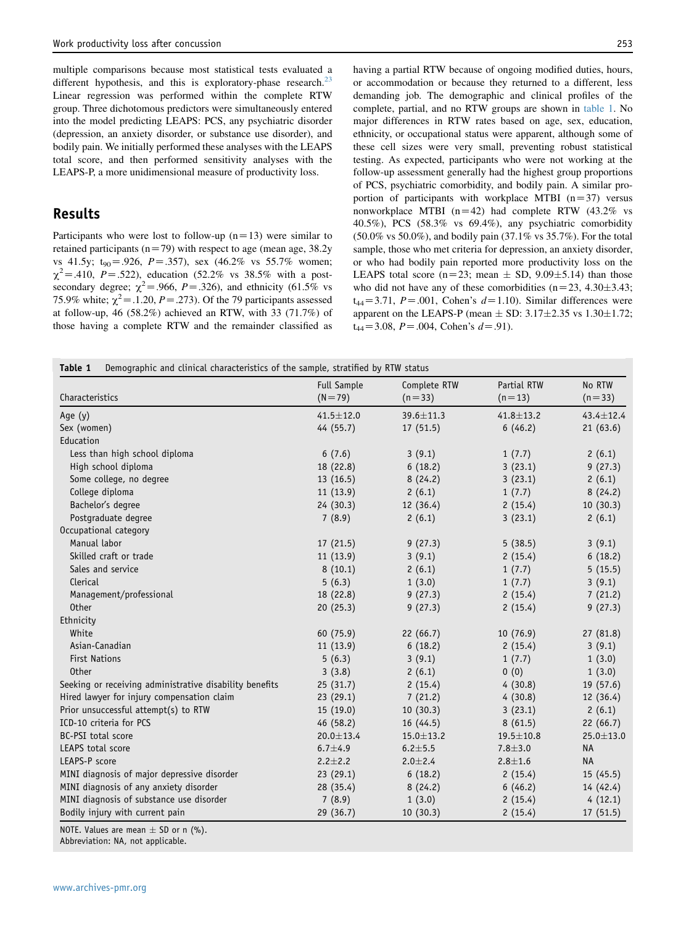<span id="page-3-0"></span>multiple comparisons because most statistical tests evaluated a different hypothesis, and this is exploratory-phase research.<sup>[23](#page-6-0)</sup> Linear regression was performed within the complete RTW group. Three dichotomous predictors were simultaneously entered into the model predicting LEAPS: PCS, any psychiatric disorder (depression, an anxiety disorder, or substance use disorder), and bodily pain. We initially performed these analyses with the LEAPS total score, and then performed sensitivity analyses with the LEAPS-P, a more unidimensional measure of productivity loss.

#### Results

Participants who were lost to follow-up  $(n=13)$  were similar to retained participants ( $n=79$ ) with respect to age (mean age, 38.2y vs 41.5y;  $t_{90} = .926$ ,  $P = .357$ ), sex (46.2% vs 55.7% women;  $\chi^2$  = .410, P = .522), education (52.2% vs 38.5% with a postsecondary degree;  $\chi^2$  = .966, P = .326), and ethnicity (61.5% vs 75.9% white;  $\chi^2$  = .1.20, *P* = .273). Of the 79 participants assessed at follow-up, 46 (58.2%) achieved an RTW, with 33 (71.7%) of those having a complete RTW and the remainder classified as having a partial RTW because of ongoing modified duties, hours, or accommodation or because they returned to a different, less demanding job. The demographic and clinical profiles of the complete, partial, and no RTW groups are shown in table 1. No major differences in RTW rates based on age, sex, education, ethnicity, or occupational status were apparent, although some of these cell sizes were very small, preventing robust statistical testing. As expected, participants who were not working at the follow-up assessment generally had the highest group proportions of PCS, psychiatric comorbidity, and bodily pain. A similar proportion of participants with workplace MTBI  $(n=37)$  versus nonworkplace MTBI ( $n=42$ ) had complete RTW (43.2% vs 40.5%), PCS (58.3% vs 69.4%), any psychiatric comorbidity (50.0% vs 50.0%), and bodily pain (37.1% vs 35.7%). For the total sample, those who met criteria for depression, an anxiety disorder, or who had bodily pain reported more productivity loss on the LEAPS total score (n=23; mean  $\pm$  SD, 9.09 $\pm$ 5.14) than those who did not have any of these comorbidities ( $n=23$ , 4.30 $\pm$ 3.43;  $t_{44}$ =3.71, P=.001, Cohen's d=1.10). Similar differences were apparent on the LEAPS-P (mean  $\pm$  SD: 3.17 $\pm$ 2.35 vs 1.30 $\pm$ 1.72;  $t_{44}$ =3.08, P = .004, Cohen's d = .91).

Table 1 Demographic and clinical characteristics of the sample, stratified by RTW status

|                                                         | <b>Full Sample</b> | Complete RTW    | Partial RTW     | No RTW          |
|---------------------------------------------------------|--------------------|-----------------|-----------------|-----------------|
| Characteristics                                         | $(N = 79)$         | $(n=33)$        | $(n=13)$        | $(n=33)$        |
| Age (y)                                                 | $41.5 \pm 12.0$    | 39.6±11.3       | $41.8 \pm 13.2$ | 43.4±12.4       |
| Sex (women)                                             | 44 (55.7)          | 17(51.5)        | 6(46.2)         | 21(63.6)        |
| Education                                               |                    |                 |                 |                 |
| Less than high school diploma                           | 6(7.6)             | 3(9.1)          | 1(7.7)          | 2(6.1)          |
| High school diploma                                     | 18 (22.8)          | 6(18.2)         | 3(23.1)         | 9(27.3)         |
| Some college, no degree                                 | 13(16.5)           | 8(24.2)         | 3(23.1)         | 2(6.1)          |
| College diploma                                         | 11(13.9)           | 2(6.1)          | 1(7.7)          | 8(24.2)         |
| Bachelor's degree                                       | 24(30.3)           | 12 (36.4)       | 2(15.4)         | 10(30.3)        |
| Postgraduate degree                                     | 7(8.9)             | 2(6.1)          | 3(23.1)         | 2(6.1)          |
| Occupational category                                   |                    |                 |                 |                 |
| Manual labor                                            | 17(21.5)           | 9(27.3)         | 5(38.5)         | 3(9.1)          |
| Skilled craft or trade                                  | 11(13.9)           | 3(9.1)          | 2(15.4)         | 6(18.2)         |
| Sales and service                                       | 8(10.1)            | 2(6.1)          | 1(7.7)          | 5(15.5)         |
| Clerical                                                | 5(6.3)             | 1(3.0)          | 1(7.7)          | 3(9.1)          |
| Management/professional                                 | 18 (22.8)          | 9(27.3)         | 2(15.4)         | 7(21.2)         |
| <b>Other</b>                                            | 20(25.3)           | 9(27.3)         | 2(15.4)         | 9(27.3)         |
| Ethnicity                                               |                    |                 |                 |                 |
| White                                                   | 60 (75.9)          | 22(66.7)        | 10(76.9)        | 27(81.8)        |
| Asian-Canadian                                          | 11(13.9)           | 6(18.2)         | 2(15.4)         | 3(9.1)          |
| <b>First Nations</b>                                    | 5(6.3)             | 3(9.1)          | 1(7.7)          | 1(3.0)          |
| <b>Other</b>                                            | 3(3.8)             | 2(6.1)          | 0(0)            | 1(3.0)          |
| Seeking or receiving administrative disability benefits | 25(31.7)           | 2(15.4)         | 4(30.8)         | 19(57.6)        |
| Hired lawyer for injury compensation claim              | 23(29.1)           | 7(21.2)         | 4(30.8)         | 12(36.4)        |
| Prior unsuccessful attempt(s) to RTW                    | 15(19.0)           | 10(30.3)        | 3(23.1)         | 2(6.1)          |
| ICD-10 criteria for PCS                                 | 46 (58.2)          | 16(44.5)        | 8(61.5)         | 22(66.7)        |
| BC-PSI total score                                      | $20.0 \pm 13.4$    | $15.0 \pm 13.2$ | $19.5 \pm 10.8$ | $25.0 \pm 13.0$ |
| <b>LEAPS total score</b>                                | $6.7 + 4.9$        | $6.2 + 5.5$     | $7.8 + 3.0$     | <b>NA</b>       |
| LEAPS-P score                                           | $2.2 \pm 2.2$      | $2.0 \pm 2.4$   | $2.8 + 1.6$     | <b>NA</b>       |
| MINI diagnosis of major depressive disorder             | 23(29.1)           | 6(18.2)         | 2(15.4)         | 15(45.5)        |
| MINI diagnosis of any anxiety disorder                  | 28 (35.4)          | 8(24.2)         | 6(46.2)         | 14 (42.4)       |
| MINI diagnosis of substance use disorder                | 7(8.9)             | 1(3.0)          | 2(15.4)         | 4(12.1)         |
| Bodily injury with current pain                         | 29 (36.7)          | 10(30.3)        | 2(15.4)         | 17(51.5)        |

NOTE. Values are mean  $\pm$  SD or n (%).

Abbreviation: NA, not applicable.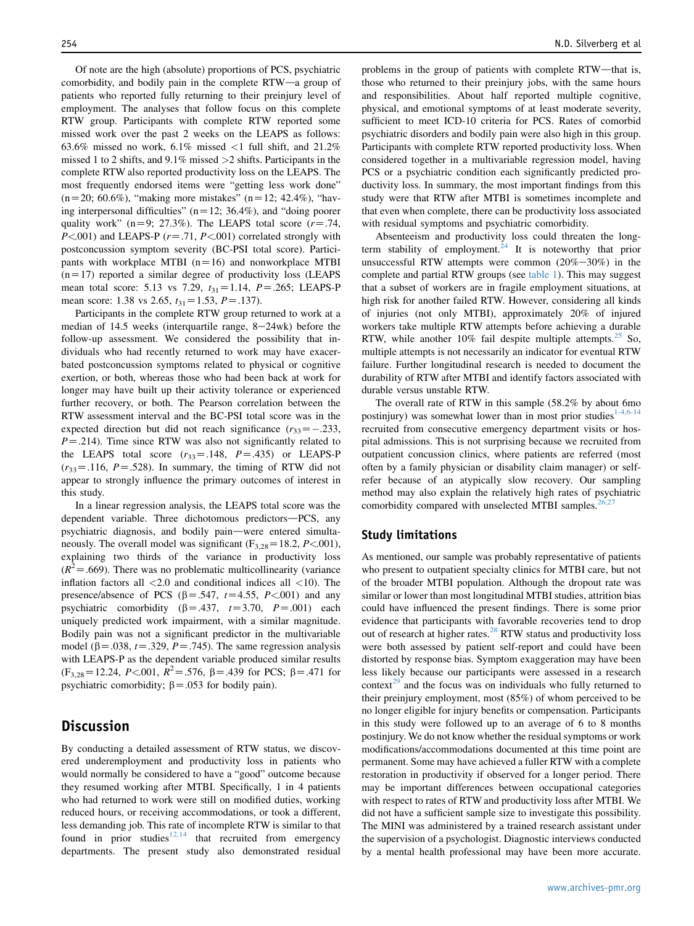Of note are the high (absolute) proportions of PCS, psychiatric comorbidity, and bodily pain in the complete RTW-a group of patients who reported fully returning to their preinjury level of employment. The analyses that follow focus on this complete RTW group. Participants with complete RTW reported some missed work over the past 2 weeks on the LEAPS as follows: 63.6% missed no work, 6.1% missed  $\langle 1 \text{ full shift, and } 21.2\%$ missed 1 to 2 shifts, and 9.1% missed >2 shifts. Participants in the complete RTW also reported productivity loss on the LEAPS. The most frequently endorsed items were "getting less work done"  $(n=20; 60.6\%)$ , "making more mistakes"  $(n=12; 42.4\%)$ , "having interpersonal difficulties" ( $n=12$ ; 36.4%), and "doing poorer quality work" (n=9; 27.3%). The LEAPS total score ( $r = .74$ ,  $P \leq 0.001$ ) and LEAPS-P ( $r = .71$ ,  $P \leq 0.01$ ) correlated strongly with postconcussion symptom severity (BC-PSI total score). Participants with workplace MTBI  $(n=16)$  and nonworkplace MTBI  $(n=17)$  reported a similar degree of productivity loss (LEAPS) mean total score: 5.13 vs 7.29,  $t_{31} = 1.14$ ,  $P = .265$ ; LEAPS-P mean score: 1.38 vs 2.65,  $t_{31} = 1.53$ ,  $P = .137$ ).

Participants in the complete RTW group returned to work at a median of  $14.5$  weeks (interquartile range,  $8-24$ wk) before the follow-up assessment. We considered the possibility that individuals who had recently returned to work may have exacerbated postconcussion symptoms related to physical or cognitive exertion, or both, whereas those who had been back at work for longer may have built up their activity tolerance or experienced further recovery, or both. The Pearson correlation between the RTW assessment interval and the BC-PSI total score was in the expected direction but did not reach significance  $(r_{33}=-.233,$  $P = .214$ ). Time since RTW was also not significantly related to the LEAPS total score  $(r_{33}=.148, P=.435)$  or LEAPS-P  $(r_{33}=116, P=.528)$ . In summary, the timing of RTW did not appear to strongly influence the primary outcomes of interest in this study.

In a linear regression analysis, the LEAPS total score was the dependent variable. Three dichotomous predictors-PCS, any psychiatric diagnosis, and bodily pain-were entered simultaneously. The overall model was significant ( $F_{3,28}$ =18.2, *P*<.001), explaining two thirds of the variance in productivity loss  $(R<sup>2</sup>=.669)$ . There was no problematic multicollinearity (variance inflation factors all  $\langle 2.0 \rangle$  and conditional indices all  $\langle 10 \rangle$ . The presence/absence of PCS ( $\beta$ =.547, t=4.55, P<.001) and any psychiatric comorbidity  $(\beta = .437, t=3.70, P=.001)$  each uniquely predicted work impairment, with a similar magnitude. Bodily pain was not a significant predictor in the multivariable model ( $\beta$ =.038, t=.329, P=.745). The same regression analysis with LEAPS-P as the dependent variable produced similar results  $(F_{3,28} = 12.24, P < 0.001, R^2 = 0.576, \beta = 0.439$  for PCS;  $\beta = 0.471$  for psychiatric comorbidity;  $\beta$  = .053 for bodily pain).

# **Discussion**

By conducting a detailed assessment of RTW status, we discovered underemployment and productivity loss in patients who would normally be considered to have a "good" outcome because they resumed working after MTBI. Specifically, 1 in 4 patients who had returned to work were still on modified duties, working reduced hours, or receiving accommodations, or took a different, less demanding job. This rate of incomplete RTW is similar to that found in prior studies<sup>[12,14](#page-5-0)</sup> that recruited from emergency departments. The present study also demonstrated residual

problems in the group of patients with complete RTW-that is, those who returned to their preinjury jobs, with the same hours and responsibilities. About half reported multiple cognitive, physical, and emotional symptoms of at least moderate severity, sufficient to meet ICD-10 criteria for PCS. Rates of comorbid psychiatric disorders and bodily pain were also high in this group. Participants with complete RTW reported productivity loss. When considered together in a multivariable regression model, having PCS or a psychiatric condition each significantly predicted productivity loss. In summary, the most important findings from this study were that RTW after MTBI is sometimes incomplete and that even when complete, there can be productivity loss associated with residual symptoms and psychiatric comorbidity.

Absenteeism and productivity loss could threaten the longterm stability of employment.<sup>24</sup> It is noteworthy that prior unsuccessful RTW attempts were common  $(20\% - 30\%)$  in the complete and partial RTW groups (see [table 1](#page-3-0)). This may suggest that a subset of workers are in fragile employment situations, at high risk for another failed RTW. However, considering all kinds of injuries (not only MTBI), approximately 20% of injured workers take multiple RTW attempts before achieving a durable RTW, while another  $10\%$  fail despite multiple attempts.<sup>[25](#page-6-0)</sup> So, multiple attempts is not necessarily an indicator for eventual RTW failure. Further longitudinal research is needed to document the durability of RTW after MTBI and identify factors associated with durable versus unstable RTW.

The overall rate of RTW in this sample (58.2% by about 6mo postinjury) was somewhat lower than in most prior studies<sup>[1-4,6-14](#page-5-0)</sup> recruited from consecutive emergency department visits or hospital admissions. This is not surprising because we recruited from outpatient concussion clinics, where patients are referred (most often by a family physician or disability claim manager) or selfrefer because of an atypically slow recovery. Our sampling method may also explain the relatively high rates of psychiatric comorbidity compared with unselected MTBI samples.<sup>2</sup>

#### Study limitations

As mentioned, our sample was probably representative of patients who present to outpatient specialty clinics for MTBI care, but not of the broader MTBI population. Although the dropout rate was similar or lower than most longitudinal MTBI studies, attrition bias could have influenced the present findings. There is some prior evidence that participants with favorable recoveries tend to drop out of research at higher rates.<sup>[28](#page-6-0)</sup> RTW status and productivity loss were both assessed by patient self-report and could have been distorted by response bias. Symptom exaggeration may have been less likely because our participants were assessed in a research context<sup>[29](#page-6-0)</sup> and the focus was on individuals who fully returned to their preinjury employment, most (85%) of whom perceived to be no longer eligible for injury benefits or compensation. Participants in this study were followed up to an average of 6 to 8 months postinjury. We do not know whether the residual symptoms or work modifications/accommodations documented at this time point are permanent. Some may have achieved a fuller RTW with a complete restoration in productivity if observed for a longer period. There may be important differences between occupational categories with respect to rates of RTW and productivity loss after MTBI. We did not have a sufficient sample size to investigate this possibility. The MINI was administered by a trained research assistant under the supervision of a psychologist. Diagnostic interviews conducted by a mental health professional may have been more accurate.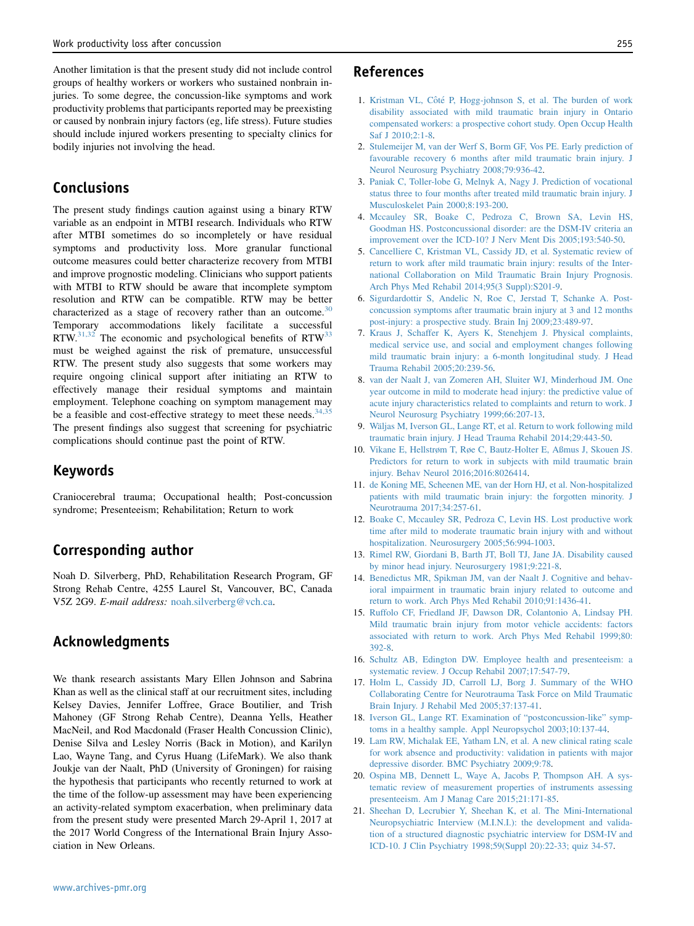<span id="page-5-0"></span>Another limitation is that the present study did not include control groups of healthy workers or workers who sustained nonbrain injuries. To some degree, the concussion-like symptoms and work productivity problems that participants reported may be preexisting or caused by nonbrain injury factors (eg, life stress). Future studies should include injured workers presenting to specialty clinics for bodily injuries not involving the head.

# Conclusions

The present study findings caution against using a binary RTW variable as an endpoint in MTBI research. Individuals who RTW after MTBI sometimes do so incompletely or have residual symptoms and productivity loss. More granular functional outcome measures could better characterize recovery from MTBI and improve prognostic modeling. Clinicians who support patients with MTBI to RTW should be aware that incomplete symptom resolution and RTW can be compatible. RTW may be better characterized as a stage of recovery rather than an outcome. $30$ Temporary accommodations likely facilitate a successful RTW. $31,32$  The economic and psychological benefits of RTW $33$ must be weighed against the risk of premature, unsuccessful RTW. The present study also suggests that some workers may require ongoing clinical support after initiating an RTW to effectively manage their residual symptoms and maintain employment. Telephone coaching on symptom management may be a feasible and cost-effective strategy to meet these needs.<sup>[34,35](#page-6-0)</sup> The present findings also suggest that screening for psychiatric complications should continue past the point of RTW.

### Keywords

Craniocerebral trauma; Occupational health; Post-concussion syndrome; Presenteeism; Rehabilitation; Return to work

# Corresponding author

Noah D. Silverberg, PhD, Rehabilitation Research Program, GF Strong Rehab Centre, 4255 Laurel St, Vancouver, BC, Canada V5Z 2G9. E-mail address: [noah.silverberg@vch.ca](mailto:noah.silverberg@vch.ca).

# Acknowledgments

We thank research assistants Mary Ellen Johnson and Sabrina Khan as well as the clinical staff at our recruitment sites, including Kelsey Davies, Jennifer Loffree, Grace Boutilier, and Trish Mahoney (GF Strong Rehab Centre), Deanna Yells, Heather MacNeil, and Rod Macdonald (Fraser Health Concussion Clinic), Denise Silva and Lesley Norris (Back in Motion), and Karilyn Lao, Wayne Tang, and Cyrus Huang (LifeMark). We also thank Joukje van der Naalt, PhD (University of Groningen) for raising the hypothesis that participants who recently returned to work at the time of the follow-up assessment may have been experiencing an activity-related symptom exacerbation, when preliminary data from the present study were presented March 29-April 1, 2017 at the 2017 World Congress of the International Brain Injury Association in New Orleans.

#### References

- 1. Kristman VL, Côté [P, Hogg-johnson S, et al. The burden of work](http://refhub.elsevier.com/S0003-9993(17)30492-6/sref1) [disability associated with mild traumatic brain injury in Ontario](http://refhub.elsevier.com/S0003-9993(17)30492-6/sref1) [compensated workers: a prospective cohort study. Open Occup Health](http://refhub.elsevier.com/S0003-9993(17)30492-6/sref1) [Saf J 2010;2:1-8](http://refhub.elsevier.com/S0003-9993(17)30492-6/sref1).
- 2. [Stulemeijer M, van der Werf S, Borm GF, Vos PE. Early prediction of](http://refhub.elsevier.com/S0003-9993(17)30492-6/sref2) [favourable recovery 6 months after mild traumatic brain injury. J](http://refhub.elsevier.com/S0003-9993(17)30492-6/sref2) [Neurol Neurosurg Psychiatry 2008;79:936-42](http://refhub.elsevier.com/S0003-9993(17)30492-6/sref2).
- 3. [Paniak C, Toller-lobe G, Melnyk A, Nagy J. Prediction of vocational](http://refhub.elsevier.com/S0003-9993(17)30492-6/sref3) [status three to four months after treated mild traumatic brain injury. J](http://refhub.elsevier.com/S0003-9993(17)30492-6/sref3) [Musculoskelet Pain 2000;8:193-200.](http://refhub.elsevier.com/S0003-9993(17)30492-6/sref3)
- 4. [Mccauley SR, Boake C, Pedroza C, Brown SA, Levin HS,](http://refhub.elsevier.com/S0003-9993(17)30492-6/sref4) [Goodman HS. Postconcussional disorder: are the DSM-IV criteria an](http://refhub.elsevier.com/S0003-9993(17)30492-6/sref4) [improvement over the ICD-10? J Nerv Ment Dis 2005;193:540-50](http://refhub.elsevier.com/S0003-9993(17)30492-6/sref4).
- 5. [Cancelliere C, Kristman VL, Cassidy JD, et al. Systematic review of](http://refhub.elsevier.com/S0003-9993(17)30492-6/sref5) [return to work after mild traumatic brain injury: results of the Inter](http://refhub.elsevier.com/S0003-9993(17)30492-6/sref5)[national Collaboration on Mild Traumatic Brain Injury Prognosis.](http://refhub.elsevier.com/S0003-9993(17)30492-6/sref5) [Arch Phys Med Rehabil 2014;95\(3 Suppl\):S201-9](http://refhub.elsevier.com/S0003-9993(17)30492-6/sref5).
- 6. [Sigurdardottir S, Andelic N, Roe C, Jerstad T, Schanke A. Post](http://refhub.elsevier.com/S0003-9993(17)30492-6/sref6)[concussion symptoms after traumatic brain injury at 3 and 12 months](http://refhub.elsevier.com/S0003-9993(17)30492-6/sref6) [post-injury: a prospective study. Brain Inj 2009;23:489-97.](http://refhub.elsevier.com/S0003-9993(17)30492-6/sref6)
- 7. [Kraus J, Schaffer K, Ayers K, Stenehjem J. Physical complaints,](http://refhub.elsevier.com/S0003-9993(17)30492-6/sref7) [medical service use, and social and employment changes following](http://refhub.elsevier.com/S0003-9993(17)30492-6/sref7) [mild traumatic brain injury: a 6-month longitudinal study. J Head](http://refhub.elsevier.com/S0003-9993(17)30492-6/sref7) [Trauma Rehabil 2005;20:239-56.](http://refhub.elsevier.com/S0003-9993(17)30492-6/sref7)
- 8. [van der Naalt J, van Zomeren AH, Sluiter WJ, Minderhoud JM. One](http://refhub.elsevier.com/S0003-9993(17)30492-6/sref8) [year outcome in mild to moderate head injury: the predictive value of](http://refhub.elsevier.com/S0003-9993(17)30492-6/sref8) [acute injury characteristics related to complaints and return to work. J](http://refhub.elsevier.com/S0003-9993(17)30492-6/sref8) [Neurol Neurosurg Psychiatry 1999;66:207-13](http://refhub.elsevier.com/S0003-9993(17)30492-6/sref8).
- 9. Wäljas M, Iverson GL, Lange RT, et al. Return to work following mild [traumatic brain injury. J Head Trauma Rehabil 2014;29:443-50](http://refhub.elsevier.com/S0003-9993(17)30492-6/sref9).
- 10. [Vikane E, Hellstrøm T, Røe C, Bautz-Holter E, Aßmus J, Skouen JS.](http://refhub.elsevier.com/S0003-9993(17)30492-6/sref10) [Predictors for return to work in subjects with mild traumatic brain](http://refhub.elsevier.com/S0003-9993(17)30492-6/sref10) [injury. Behav Neurol 2016;2016:8026414](http://refhub.elsevier.com/S0003-9993(17)30492-6/sref10).
- 11. [de Koning ME, Scheenen ME, van der Horn HJ, et al. Non-hospitalized](http://refhub.elsevier.com/S0003-9993(17)30492-6/sref11) [patients with mild traumatic brain injury: the forgotten minority. J](http://refhub.elsevier.com/S0003-9993(17)30492-6/sref11) [Neurotrauma 2017;34:257-61.](http://refhub.elsevier.com/S0003-9993(17)30492-6/sref11)
- 12. [Boake C, Mccauley SR, Pedroza C, Levin HS. Lost productive work](http://refhub.elsevier.com/S0003-9993(17)30492-6/sref12) [time after mild to moderate traumatic brain injury with and without](http://refhub.elsevier.com/S0003-9993(17)30492-6/sref12) [hospitalization. Neurosurgery 2005;56:994-1003](http://refhub.elsevier.com/S0003-9993(17)30492-6/sref12).
- 13. [Rimel RW, Giordani B, Barth JT, Boll TJ, Jane JA. Disability caused](http://refhub.elsevier.com/S0003-9993(17)30492-6/sref13) [by minor head injury. Neurosurgery 1981;9:221-8.](http://refhub.elsevier.com/S0003-9993(17)30492-6/sref13)
- 14. [Benedictus MR, Spikman JM, van der Naalt J. Cognitive and behav](http://refhub.elsevier.com/S0003-9993(17)30492-6/sref14)[ioral impairment in traumatic brain injury related to outcome and](http://refhub.elsevier.com/S0003-9993(17)30492-6/sref14) [return to work. Arch Phys Med Rehabil 2010;91:1436-41.](http://refhub.elsevier.com/S0003-9993(17)30492-6/sref14)
- 15. [Ruffolo CF, Friedland JF, Dawson DR, Colantonio A, Lindsay PH.](http://refhub.elsevier.com/S0003-9993(17)30492-6/sref15) [Mild traumatic brain injury from motor vehicle accidents: factors](http://refhub.elsevier.com/S0003-9993(17)30492-6/sref15) [associated with return to work. Arch Phys Med Rehabil 1999;80:](http://refhub.elsevier.com/S0003-9993(17)30492-6/sref15) [392-8.](http://refhub.elsevier.com/S0003-9993(17)30492-6/sref15)
- 16. [Schultz AB, Edington DW. Employee health and presenteeism: a](http://refhub.elsevier.com/S0003-9993(17)30492-6/sref16) [systematic review. J Occup Rehabil 2007;17:547-79.](http://refhub.elsevier.com/S0003-9993(17)30492-6/sref16)
- 17. [Holm L, Cassidy JD, Carroll LJ, Borg J. Summary of the WHO](http://refhub.elsevier.com/S0003-9993(17)30492-6/sref17) [Collaborating Centre for Neurotrauma Task Force on Mild Traumatic](http://refhub.elsevier.com/S0003-9993(17)30492-6/sref17) [Brain Injury. J Rehabil Med 2005;37:137-41.](http://refhub.elsevier.com/S0003-9993(17)30492-6/sref17)
- 18. [Iverson GL, Lange RT. Examination of "postconcussion-like" symp](http://refhub.elsevier.com/S0003-9993(17)30492-6/sref18)[toms in a healthy sample. Appl Neuropsychol 2003;10:137-44.](http://refhub.elsevier.com/S0003-9993(17)30492-6/sref18)
- 19. [Lam RW, Michalak EE, Yatham LN, et al. A new clinical rating scale](http://refhub.elsevier.com/S0003-9993(17)30492-6/sref19) [for work absence and productivity: validation in patients with major](http://refhub.elsevier.com/S0003-9993(17)30492-6/sref19) [depressive disorder. BMC Psychiatry 2009;9:78](http://refhub.elsevier.com/S0003-9993(17)30492-6/sref19).
- 20. [Ospina MB, Dennett L, Waye A, Jacobs P, Thompson AH. A sys](http://refhub.elsevier.com/S0003-9993(17)30492-6/sref20)[tematic review of measurement properties of instruments assessing](http://refhub.elsevier.com/S0003-9993(17)30492-6/sref20) [presenteeism. Am J Manag Care 2015;21:171-85](http://refhub.elsevier.com/S0003-9993(17)30492-6/sref20).
- 21. [Sheehan D, Lecrubier Y, Sheehan K, et al. The Mini-International](http://refhub.elsevier.com/S0003-9993(17)30492-6/sref21) [Neuropsychiatric Interview \(M.I.N.I.\): the development and valida](http://refhub.elsevier.com/S0003-9993(17)30492-6/sref21)[tion of a structured diagnostic psychiatric interview for DSM-IV and](http://refhub.elsevier.com/S0003-9993(17)30492-6/sref21) [ICD-10. J Clin Psychiatry 1998;59\(Suppl 20\):22-33; quiz 34-57.](http://refhub.elsevier.com/S0003-9993(17)30492-6/sref21)